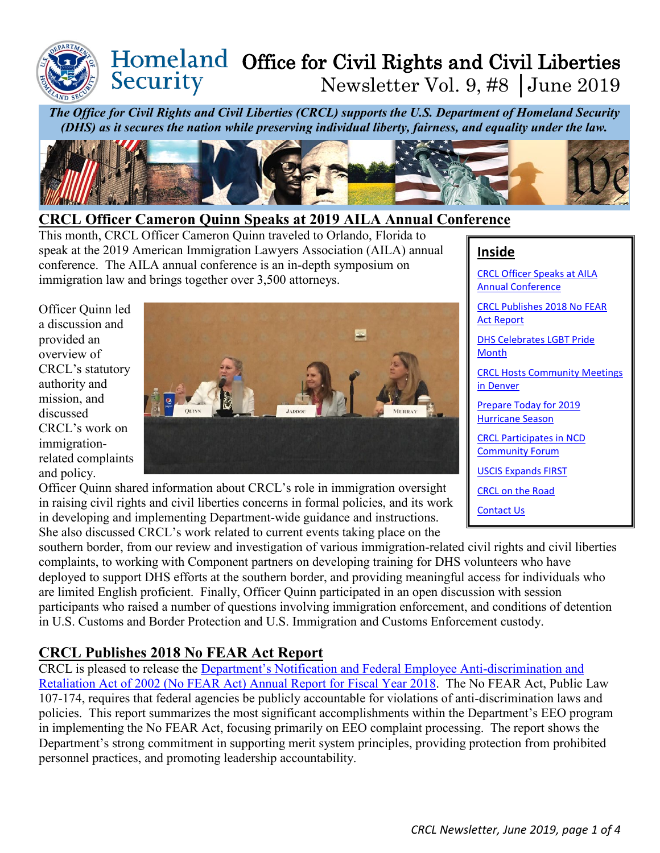## Homeland Office for Civil Rights and Civil Liberties Security Newsletter Vol. 9, #8 │June 2019

*The Office for Civil Rights and Civil Liberties (CRCL) supports the U.S. Department of Homeland Security (DHS) as it secures the nation while preserving individual liberty, fairness, and equality under the law.*



## <span id="page-0-0"></span>**CRCL Officer Cameron Quinn Speaks at 2019 AILA Annual Conference**

This month, CRCL Officer Cameron Quinn traveled to Orlando, Florida to speak at the 2019 American Immigration Lawyers Association (AILA) annual conference. The AILA annual conference is an in-depth symposium on immigration law and brings together over 3,500 attorneys.

Officer Quinn led a discussion and provided an overview of CRCL's statutory authority and mission, and discussed CRCL's work on immigrationrelated complaints and policy.



Officer Quinn shared information about CRCL's role in immigration oversight in raising civil rights and civil liberties concerns in formal policies, and its work in developing and implementing Department-wide guidance and instructions. She also discussed CRCL's work related to current events taking place on the

### **Inside**

[CRCL Officer Speaks at AILA](#page-0-0)  [Annual Conference](#page-0-0) 

[CRCL Publishes 2018 No FEAR](#page-0-1)  [Act Report](#page-0-1)

[DHS Celebrates LGBT Pride](#page-1-0)  **[Month](#page-1-0)** 

CRCL [Hosts Community Meetings](#page-1-1)  [in Denver](#page-1-1)

[Prepare Today for 2019](#page-2-0)  [Hurricane Season](#page-2-0)

[CRCL Participates in NCD](#page-2-1)  [Community Forum](#page-2-1)

[USCIS Expands FIRST](#page-3-0)

[CRCL on the Road](#page-3-1)

[Contact Us](#page-3-2)

southern border, from our review and investigation of various immigration-related civil rights and civil liberties complaints, to working with Component partners on developing training for DHS volunteers who have deployed to support DHS efforts at the southern border, and providing meaningful access for individuals who are limited English proficient. Finally, Officer Quinn participated in an open discussion with session participants who raised a number of questions involving immigration enforcement, and conditions of detention in U.S. Customs and Border Protection and U.S. Immigration and Customs Enforcement custody.

# <span id="page-0-1"></span>**CRCL Publishes 2018 No FEAR Act Report**

CRCL is pleased to release the [Department's Notification and Federal Employee Anti-discrimination and](https://www.dhs.gov/sites/default/files/publications/fy-2018-no-fear-act-annual-report.pdf)  [Retaliation Act of 2002 \(No FEAR Act\) Annual Report for Fiscal Year 2018.](https://www.dhs.gov/sites/default/files/publications/fy-2018-no-fear-act-annual-report.pdf) The No FEAR Act, Public Law 107-174, requires that federal agencies be publicly accountable for violations of anti-discrimination laws and policies. This report summarizes the most significant accomplishments within the Department's EEO program in implementing the No FEAR Act, focusing primarily on EEO complaint processing. The report shows the Department's strong commitment in supporting merit system principles, providing protection from prohibited personnel practices, and promoting leadership accountability.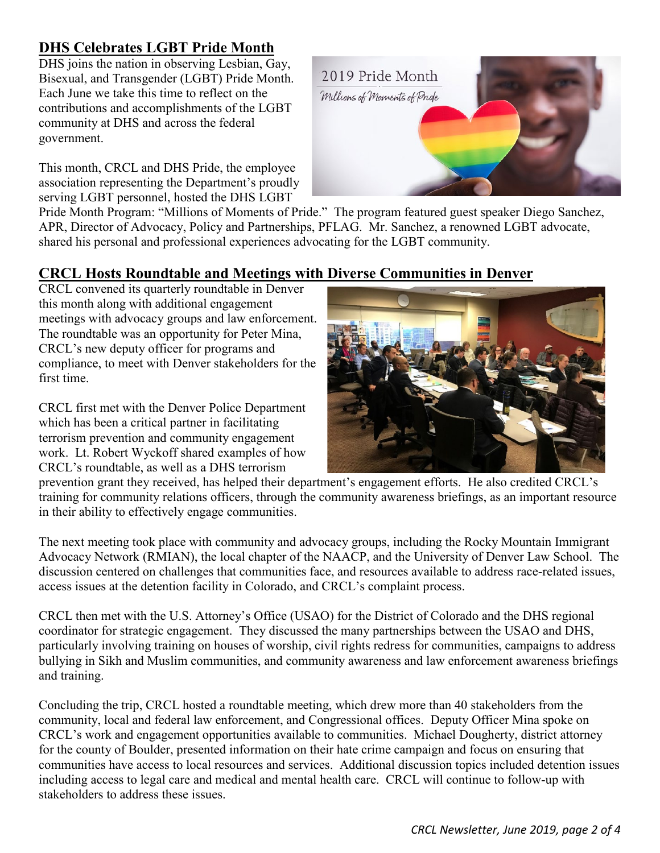# <span id="page-1-0"></span>**DHS Celebrates LGBT Pride Month**

DHS joins the nation in observing Lesbian, Gay, Bisexual, and Transgender (LGBT) Pride Month. Each June we take this time to reflect on the contributions and accomplishments of the LGBT community at DHS and across the federal government.

This month, CRCL and DHS Pride, the employee association representing the Department's proudly serving LGBT personnel, hosted the DHS LGBT



Pride Month Program: "Millions of Moments of Pride." The program featured guest speaker Diego Sanchez, APR, Director of Advocacy, Policy and Partnerships, PFLAG. Mr. Sanchez, a renowned LGBT advocate, shared his personal and professional experiences advocating for the LGBT community.

## <span id="page-1-1"></span>**CRCL Hosts Roundtable and Meetings with Diverse Communities in Denver**

CRCL convened its quarterly roundtable in Denver this month along with additional engagement meetings with advocacy groups and law enforcement. The roundtable was an opportunity for Peter Mina, CRCL's new deputy officer for programs and compliance, to meet with Denver stakeholders for the first time.

CRCL first met with the Denver Police Department which has been a critical partner in facilitating terrorism prevention and community engagement work. Lt. Robert Wyckoff shared examples of how CRCL's roundtable, as well as a DHS terrorism



prevention grant they received, has helped their department's engagement efforts. He also credited CRCL's training for community relations officers, through the community awareness briefings, as an important resource in their ability to effectively engage communities.

The next meeting took place with community and advocacy groups, including the Rocky Mountain Immigrant Advocacy Network (RMIAN), the local chapter of the NAACP, and the University of Denver Law School. The discussion centered on challenges that communities face, and resources available to address race-related issues, access issues at the detention facility in Colorado, and CRCL's complaint process.

CRCL then met with the U.S. Attorney's Office (USAO) for the District of Colorado and the DHS regional coordinator for strategic engagement. They discussed the many partnerships between the USAO and DHS, particularly involving training on houses of worship, civil rights redress for communities, campaigns to address bullying in Sikh and Muslim communities, and community awareness and law enforcement awareness briefings and training.

Concluding the trip, CRCL hosted a roundtable meeting, which drew more than 40 stakeholders from the community, local and federal law enforcement, and Congressional offices. Deputy Officer Mina spoke on CRCL's work and engagement opportunities available to communities. Michael Dougherty, district attorney for the county of Boulder, presented information on their hate crime campaign and focus on ensuring that communities have access to local resources and services. Additional discussion topics included detention issues including access to legal care and medical and mental health care. CRCL will continue to follow-up with stakeholders to address these issues.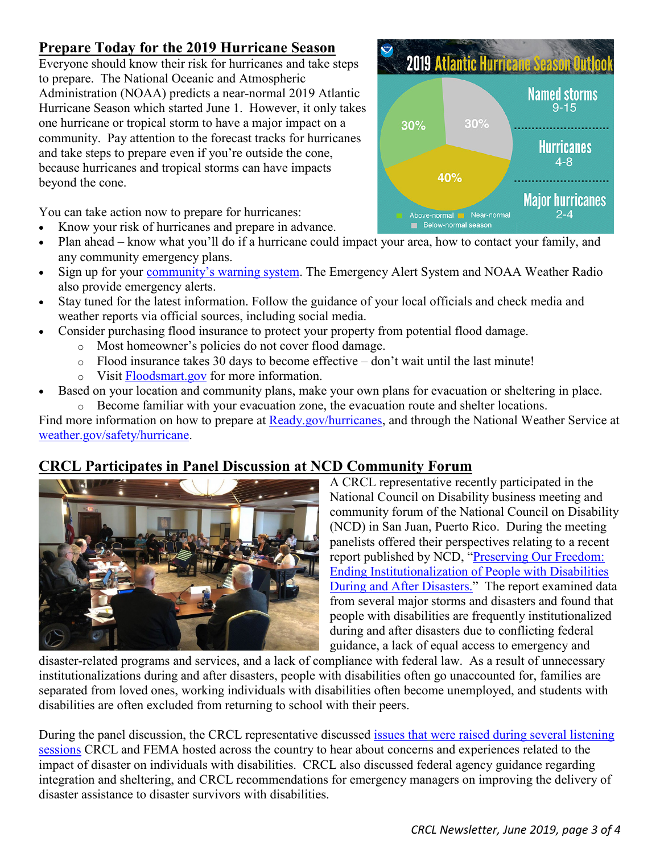# <span id="page-2-0"></span>**Prepare Today for the 2019 Hurricane Season**

Everyone should know their risk for hurricanes and take steps to prepare. The National Oceanic and Atmospheric Administration (NOAA) predicts a near-normal 2019 Atlantic Hurricane Season which started June 1. However, it only takes one hurricane or tropical storm to have a major impact on a community. Pay attention to the forecast tracks for hurricanes and take steps to prepare even if you're outside the cone, because hurricanes and tropical storms can have impacts beyond the cone.

You can take action now to prepare for hurricanes:

- Know your risk of hurricanes and prepare in advance.
- Plan ahead know what you'll do if a hurricane could impact your area, how to contact your family, and any community emergency plans.
- Sign up for your [community's warning system.](http://www.ready.gov/alerts) The Emergency Alert System and NOAA Weather Radio also provide emergency alerts.
- Stay tuned for the latest information. Follow the guidance of your local officials and check media and weather reports via official sources, including social media.
- Consider purchasing flood insurance to protect your property from potential flood damage.
	- o Most homeowner's policies do not cover flood damage.
	- $\circ$  Flood insurance takes 30 days to become effective don't wait until the last minute!
	- o Visit [Floodsmart.gov](http://www.floodsmart.gov/) for more information.
- Based on your location and community plans, make your own plans for evacuation or sheltering in place. o Become familiar with your evacuation zone, the evacuation route and shelter locations.

Find more information on how to prepare at [Ready.gov/hurricanes,](http://ready.gov/hurricanes) and through the National Weather Service at [weather.gov/safety/hurricane.](http://www.weather.gov/safety/hurricane)

# <span id="page-2-1"></span>**CRCL Participates in Panel Discussion at NCD Community Forum**



A CRCL representative recently participated in the National Council on Disability business meeting and community forum of the National Council on Disability (NCD) in San Juan, Puerto Rico. During the meeting panelists offered their perspectives relating to a recent report published by NCD, ["Preserving Our Freedom:](https://www.ncd.gov/sites/default/files/NCD_Preserving_Our_Freedom_508.pdf)  [Ending Institutionalization of People with Disabilities](https://www.ncd.gov/sites/default/files/NCD_Preserving_Our_Freedom_508.pdf)  [During and After Disasters."](https://www.ncd.gov/sites/default/files/NCD_Preserving_Our_Freedom_508.pdf) The report examined data from several major storms and disasters and found that people with disabilities are frequently institutionalized during and after disasters due to conflicting federal guidance, a lack of equal access to emergency and

disaster-related programs and services, and a lack of compliance with federal law. As a result of unnecessary institutionalizations during and after disasters, people with disabilities often go unaccounted for, families are separated from loved ones, working individuals with disabilities often become unemployed, and students with disabilities are often excluded from returning to school with their peers.

During the panel discussion, the CRCL representative discussed issues that [were raised during several listening](https://www.dhs.gov/publication/civil-rights-listening-sessions-disability-stakeholders)  [sessions](https://www.dhs.gov/publication/civil-rights-listening-sessions-disability-stakeholders) CRCL and FEMA hosted across the country to hear about concerns and experiences related to the impact of disaster on individuals with disabilities. CRCL also discussed federal agency guidance regarding integration and sheltering, and CRCL recommendations for emergency managers on improving the delivery of disaster assistance to disaster survivors with disabilities.